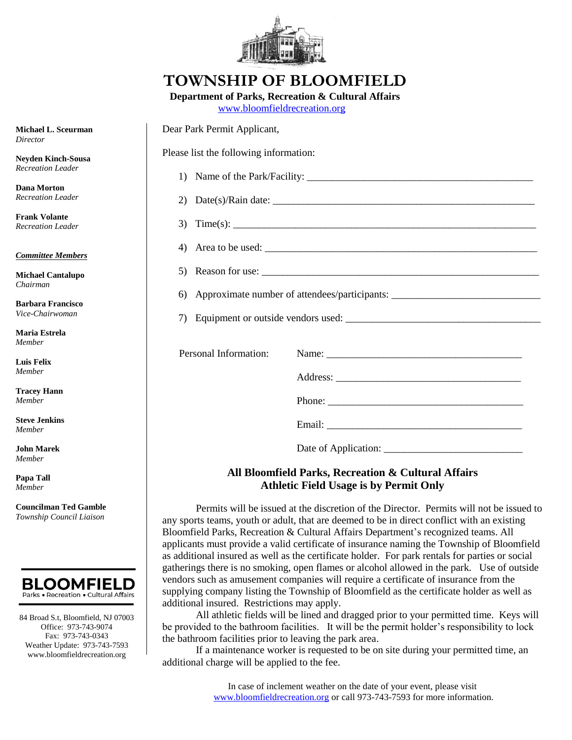

## **TOWNSHIP OF BLOOMFIELD**

**Department of Parks, Recreation & Cultural Affairs**

[www.bloomfieldrecreation.org](http://www.bloomfieldrecreation.org/)

| chael L. Sceurman<br>ector                                          | Dear Park Permit Applicant,                                                                                                                                                                                                                                                               |  |  |
|---------------------------------------------------------------------|-------------------------------------------------------------------------------------------------------------------------------------------------------------------------------------------------------------------------------------------------------------------------------------------|--|--|
| den Kinch-Sousa<br>reation Leader                                   | Please list the following information:                                                                                                                                                                                                                                                    |  |  |
|                                                                     |                                                                                                                                                                                                                                                                                           |  |  |
| 1a Morton<br>reation Leader                                         | 2) Date(s)/Rain date: $\frac{1}{2}$                                                                                                                                                                                                                                                       |  |  |
| nk Volante<br>reation Leader                                        | 3) Time(s): $\qquad \qquad$                                                                                                                                                                                                                                                               |  |  |
| <u>nmittee Members</u>                                              | 4) Area to be used: $\frac{1}{2}$ and $\frac{1}{2}$ and $\frac{1}{2}$ and $\frac{1}{2}$ and $\frac{1}{2}$ and $\frac{1}{2}$ and $\frac{1}{2}$ and $\frac{1}{2}$ and $\frac{1}{2}$ and $\frac{1}{2}$ and $\frac{1}{2}$ and $\frac{1}{2}$ and $\frac{1}{2}$ and $\frac{1}{2}$ and $\frac{1$ |  |  |
| chael Cantalupo<br>ıirman<br><b>bara Francisco·</b><br>e-Chairwoman |                                                                                                                                                                                                                                                                                           |  |  |
|                                                                     | 6) Approximate number of attendees/participants: _______________________________                                                                                                                                                                                                          |  |  |
|                                                                     |                                                                                                                                                                                                                                                                                           |  |  |
| ria Estrela<br>nber                                                 |                                                                                                                                                                                                                                                                                           |  |  |
| s Felix<br>nber                                                     | Personal Information:                                                                                                                                                                                                                                                                     |  |  |
|                                                                     |                                                                                                                                                                                                                                                                                           |  |  |
| cey Hann<br>nber                                                    |                                                                                                                                                                                                                                                                                           |  |  |
| ve Jenkins<br>nber                                                  |                                                                                                                                                                                                                                                                                           |  |  |
| n Marek<br>nber                                                     |                                                                                                                                                                                                                                                                                           |  |  |
|                                                                     |                                                                                                                                                                                                                                                                                           |  |  |

## **All Bloomfield Parks, Recreation & Cultural Affairs Athletic Field Usage is by Permit Only**

Permits will be issued at the discretion of the Director. Permits will not be issued to any sports teams, youth or adult, that are deemed to be in direct conflict with an existing Bloomfield Parks, Recreation & Cultural Affairs Department's recognized teams. All applicants must provide a valid certificate of insurance naming the Township of Bloomfield as additional insured as well as the certificate holder. For park rentals for parties or social gatherings there is no smoking, open flames or alcohol allowed in the park. Use of outside vendors such as amusement companies will require a certificate of insurance from the supplying company listing the Township of Bloomfield as the certificate holder as well as additional insured. Restrictions may apply.

All athletic fields will be lined and dragged prior to your permitted time. Keys will be provided to the bathroom facilities. It will be the permit holder's responsibility to lock the bathroom facilities prior to leaving the park area.

If a maintenance worker is requested to be on site during your permitted time, an additional charge will be applied to the fee.

**Mic** Director *Director* 

Ney  $Rec$ 

Dar  $Rec$ 

**Frank Volante**  $Rec$ 

*Committee Members*

**Mic** *Chairman*

**Bar** *Vice-Chairwoman*

**Ma** *Member*

Lui *Member*

**Tra** *Member*

**Stev** *Member*

**Joh** *Member*

**Papa Tall** *Member*

**Councilman Ted Gamble** *Township Council Liaison*



84 Broad S.t, Bloomfield, NJ 07003 Office: 973-743-9074 Fax: 973-743-0343 Weather Update: 973-743-7593 www.bloomfieldrecreation.org